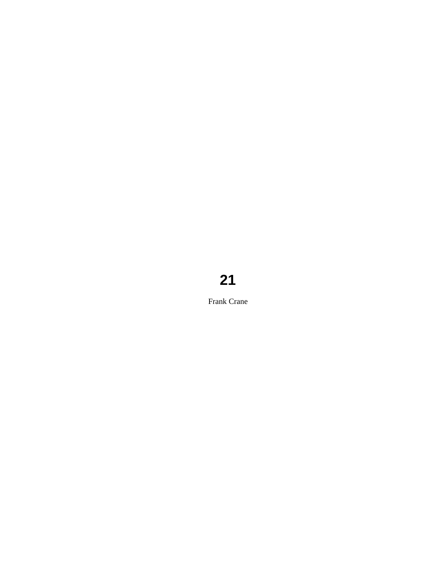# **21**

Frank Crane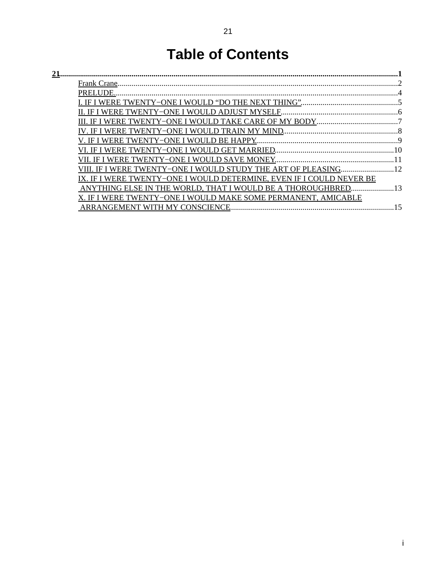# **Table of Contents**

| <u>21.</u> |                                                                         |  |
|------------|-------------------------------------------------------------------------|--|
|            |                                                                         |  |
|            | PRELUDE.                                                                |  |
|            |                                                                         |  |
|            |                                                                         |  |
|            |                                                                         |  |
|            |                                                                         |  |
|            |                                                                         |  |
|            |                                                                         |  |
|            |                                                                         |  |
|            | IF I WERE TWENTY-ONE I WOULD STUDY THE ART OF PLEASING 12               |  |
|            | WERE TWENTY-ONE I WOULD DETERMINE. EVEN IF I COULD NEVER BE             |  |
|            | $\sim$ 13<br>NYTHING ELSE IN THE WORLD. THAT I WOULD BE A THOROUGHBRED. |  |
|            | WERE TWENTY-ONE I WOULD MAKE SOME PERMANENT, AMICABLE                   |  |
|            |                                                                         |  |
|            |                                                                         |  |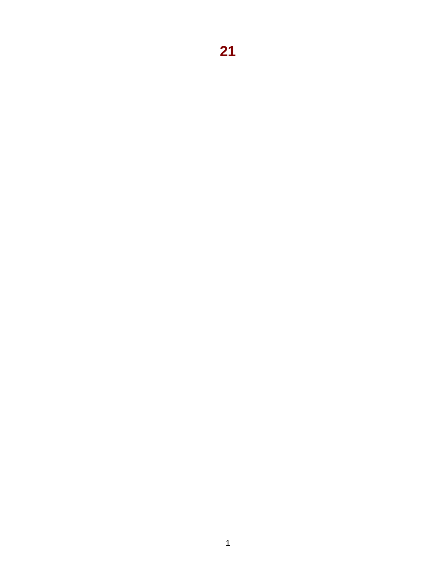<span id="page-2-0"></span>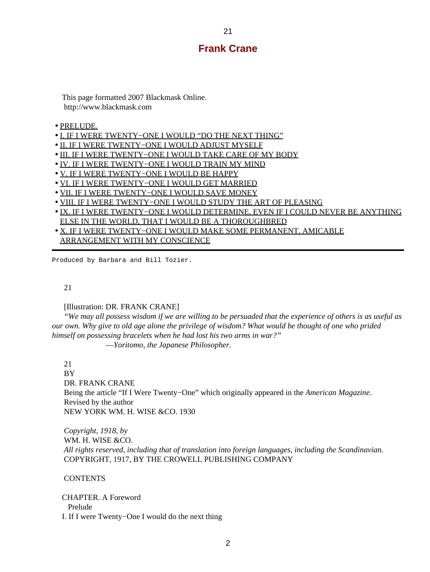#### **Frank Crane**

<span id="page-3-0"></span> This page formatted 2007 Blackmask Online. http://www.blackmask.com

#### • [PRELUDE.](#page-5-0)

- [I. IF I WERE TWENTY−ONE I WOULD "DO THE NEXT THING"](#page-6-0)
- [II. IF I WERE TWENTY−ONE I WOULD ADJUST MYSELF](#page-7-0)
- [III. IF I WERE TWENTY−ONE I WOULD TAKE CARE OF MY BODY](#page-8-0)
- [IV. IF I WERE TWENTY−ONE I WOULD TRAIN MY MIND](#page-9-0)
- [V. IF I WERE TWENTY−ONE I WOULD BE HAPPY](#page-10-0)
- [VI. IF I WERE TWENTY−ONE I WOULD GET MARRIED](#page-11-0)
- [VII. IF I WERE TWENTY−ONE I WOULD SAVE MONEY](#page-12-0)
- [VIII. IF I WERE TWENTY−ONE I WOULD STUDY THE ART OF PLEASING](#page-13-0)
- [IX. IF I WERE TWENTY−ONE I WOULD DETERMINE, EVEN IF I COULD NEVER BE ANYTHING](#page-14-0) [ELSE IN THE WORLD, THAT I WOULD BE A THOROUGHBRED](#page-14-0)
- [X. IF I WERE TWENTY−ONE I WOULD MAKE SOME PERMANENT, AMICABLE](#page-16-0) [ARRANGEMENT WITH MY CONSCIENCE](#page-16-0)

Produced by Barbara and Bill Tozier.

#### 21

#### [Illustration: DR. FRANK CRANE]

 *"We may all possess wisdom if we are willing to be persuaded that the experience of others is as useful as our own. Why give to old age alone the privilege of wisdom? What would be thought of one who prided himself on possessing bracelets when he had lost his two arms in war?"*

—*Yoritomo, the Japanese Philosopher.*

21

 BY DR. FRANK CRANE Being the article "If I Were Twenty−One" which originally appeared in the *American Magazine*. Revised by the author NEW YORK WM. H. WISE &CO. 1930

 *Copyright, 1918, by* WM. H. WISE &CO.  *All rights reserved, including that of translation into foreign languages, including the Scandinavian.* COPYRIGHT, 1917, BY THE CROWELL PUBLISHING COMPANY

#### **CONTENTS**

 CHAPTER. A Foreword Prelude I. If I were Twenty−One I would do the next thing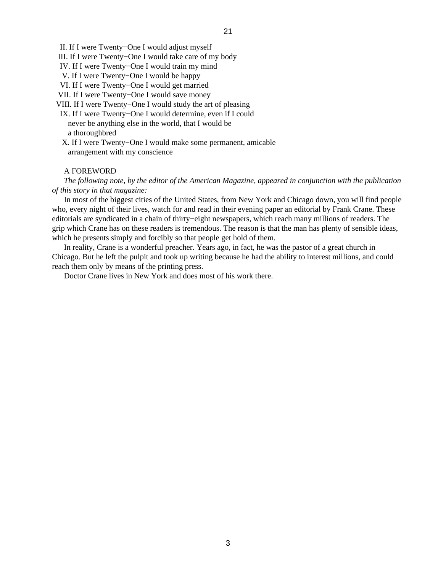II. If I were Twenty−One I would adjust myself

- III. If I were Twenty−One I would take care of my body
- IV. If I were Twenty−One I would train my mind
- V. If I were Twenty−One I would be happy
- VI. If I were Twenty−One I would get married
- VII. If I were Twenty−One I would save money
- VIII. If I were Twenty−One I would study the art of pleasing
- IX. If I were Twenty−One I would determine, even if I could never be anything else in the world, that I would be a thoroughbred
- X. If I were Twenty−One I would make some permanent, amicable arrangement with my conscience

#### A FOREWORD

 *The following note, by the editor of the American Magazine, appeared in conjunction with the publication of this story in that magazine:*

 In most of the biggest cities of the United States, from New York and Chicago down, you will find people who, every night of their lives, watch for and read in their evening paper an editorial by Frank Crane. These editorials are syndicated in a chain of thirty−eight newspapers, which reach many millions of readers. The grip which Crane has on these readers is tremendous. The reason is that the man has plenty of sensible ideas, which he presents simply and forcibly so that people get hold of them.

 In reality, Crane is a wonderful preacher. Years ago, in fact, he was the pastor of a great church in Chicago. But he left the pulpit and took up writing because he had the ability to interest millions, and could reach them only by means of the printing press.

Doctor Crane lives in New York and does most of his work there.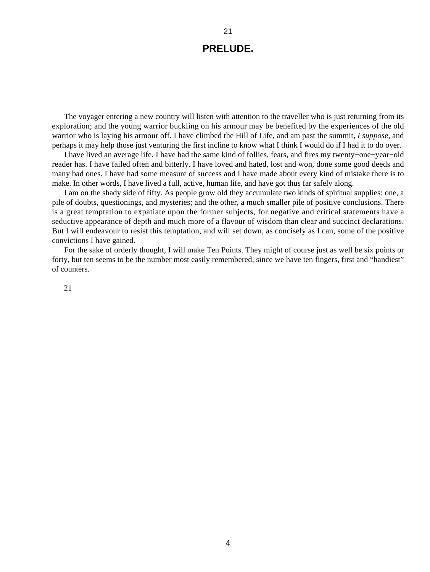# **PRELUDE.**

<span id="page-5-0"></span> The voyager entering a new country will listen with attention to the traveller who is just returning from its exploration; and the young warrior buckling on his armour may be benefited by the experiences of the old warrior who is laying his armour off. I have climbed the Hill of Life, and am past the summit, *I suppose*, and perhaps it may help those just venturing the first incline to know what I think I would do if I had it to do over.

 I have lived an average life. I have had the same kind of follies, fears, and fires my twenty−one−year−old reader has. I have failed often and bitterly. I have loved and hated, lost and won, done some good deeds and many bad ones. I have had some measure of success and I have made about every kind of mistake there is to make. In other words, I have lived a full, active, human life, and have got thus far safely along.

 I am on the shady side of fifty. As people grow old they accumulate two kinds of spiritual supplies: one, a pile of doubts, questionings, and mysteries; and the other, a much smaller pile of positive conclusions. There is a great temptation to expatiate upon the former subjects, for negative and critical statements have a seductive appearance of depth and much more of a flavour of wisdom than clear and succinct declarations. But I will endeavour to resist this temptation, and will set down, as concisely as I can, some of the positive convictions I have gained.

 For the sake of orderly thought, I will make Ten Points. They might of course just as well be six points or forty, but ten seems to be the number most easily remembered, since we have ten fingers, first and "handiest" of counters.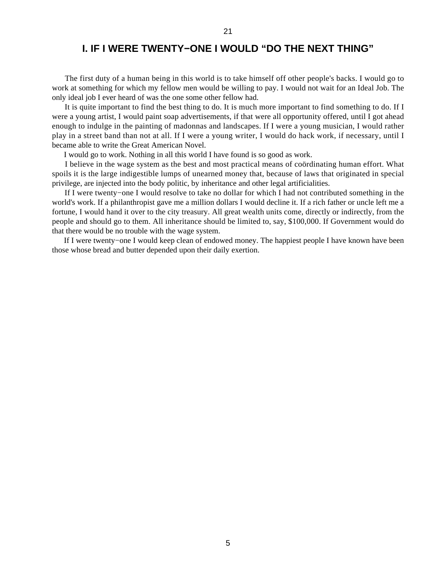### **I. IF I WERE TWENTY−ONE I WOULD "DO THE NEXT THING"**

<span id="page-6-0"></span> The first duty of a human being in this world is to take himself off other people's backs. I would go to work at something for which my fellow men would be willing to pay. I would not wait for an Ideal Job. The only ideal job I ever heard of was the one some other fellow had.

 It is quite important to find the best thing to do. It is much more important to find something to do. If I were a young artist, I would paint soap advertisements, if that were all opportunity offered, until I got ahead enough to indulge in the painting of madonnas and landscapes. If I were a young musician, I would rather play in a street band than not at all. If I were a young writer, I would do hack work, if necessary, until I became able to write the Great American Novel.

I would go to work. Nothing in all this world I have found is so good as work.

 I believe in the wage system as the best and most practical means of coördinating human effort. What spoils it is the large indigestible lumps of unearned money that, because of laws that originated in special privilege, are injected into the body politic, by inheritance and other legal artificialities.

 If I were twenty−one I would resolve to take no dollar for which I had not contributed something in the world's work. If a philanthropist gave me a million dollars I would decline it. If a rich father or uncle left me a fortune, I would hand it over to the city treasury. All great wealth units come, directly or indirectly, from the people and should go to them. All inheritance should be limited to, say, \$100,000. If Government would do that there would be no trouble with the wage system.

 If I were twenty−one I would keep clean of endowed money. The happiest people I have known have been those whose bread and butter depended upon their daily exertion.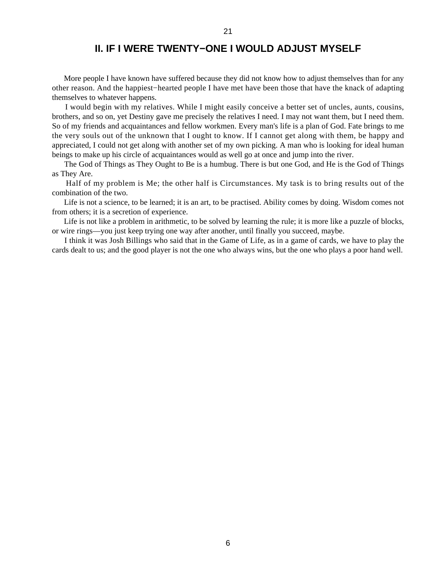### **II. IF I WERE TWENTY−ONE I WOULD ADJUST MYSELF**

<span id="page-7-0"></span> More people I have known have suffered because they did not know how to adjust themselves than for any other reason. And the happiest−hearted people I have met have been those that have the knack of adapting themselves to whatever happens.

 I would begin with my relatives. While I might easily conceive a better set of uncles, aunts, cousins, brothers, and so on, yet Destiny gave me precisely the relatives I need. I may not want them, but I need them. So of my friends and acquaintances and fellow workmen. Every man's life is a plan of God. Fate brings to me the very souls out of the unknown that I ought to know. If I cannot get along with them, be happy and appreciated, I could not get along with another set of my own picking. A man who is looking for ideal human beings to make up his circle of acquaintances would as well go at once and jump into the river.

 The God of Things as They Ought to Be is a humbug. There is but one God, and He is the God of Things as They Are.

 Half of my problem is Me; the other half is Circumstances. My task is to bring results out of the combination of the two.

 Life is not a science, to be learned; it is an art, to be practised. Ability comes by doing. Wisdom comes not from others; it is a secretion of experience.

 Life is not like a problem in arithmetic, to be solved by learning the rule; it is more like a puzzle of blocks, or wire rings—you just keep trying one way after another, until finally you succeed, maybe.

 I think it was Josh Billings who said that in the Game of Life, as in a game of cards, we have to play the cards dealt to us; and the good player is not the one who always wins, but the one who plays a poor hand well.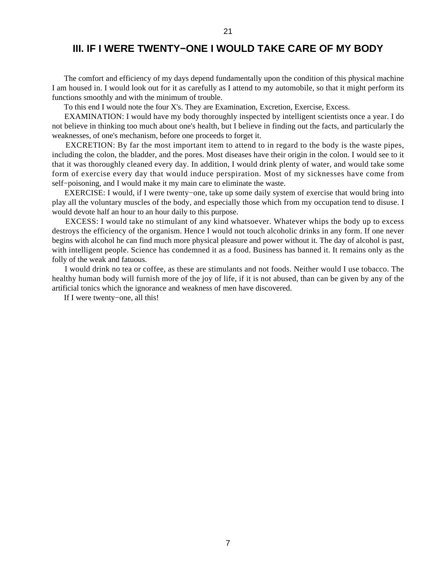### **III. IF I WERE TWENTY−ONE I WOULD TAKE CARE OF MY BODY**

<span id="page-8-0"></span> The comfort and efficiency of my days depend fundamentally upon the condition of this physical machine I am housed in. I would look out for it as carefully as I attend to my automobile, so that it might perform its functions smoothly and with the minimum of trouble.

To this end I would note the four X's. They are Examination, Excretion, Exercise, Excess.

 EXAMINATION: I would have my body thoroughly inspected by intelligent scientists once a year. I do not believe in thinking too much about one's health, but I believe in finding out the facts, and particularly the weaknesses, of one's mechanism, before one proceeds to forget it.

 EXCRETION: By far the most important item to attend to in regard to the body is the waste pipes, including the colon, the bladder, and the pores. Most diseases have their origin in the colon. I would see to it that it was thoroughly cleaned every day. In addition, I would drink plenty of water, and would take some form of exercise every day that would induce perspiration. Most of my sicknesses have come from self−poisoning, and I would make it my main care to eliminate the waste.

 EXERCISE: I would, if I were twenty−one, take up some daily system of exercise that would bring into play all the voluntary muscles of the body, and especially those which from my occupation tend to disuse. I would devote half an hour to an hour daily to this purpose.

 EXCESS: I would take no stimulant of any kind whatsoever. Whatever whips the body up to excess destroys the efficiency of the organism. Hence I would not touch alcoholic drinks in any form. If one never begins with alcohol he can find much more physical pleasure and power without it. The day of alcohol is past, with intelligent people. Science has condemned it as a food. Business has banned it. It remains only as the folly of the weak and fatuous.

 I would drink no tea or coffee, as these are stimulants and not foods. Neither would I use tobacco. The healthy human body will furnish more of the joy of life, if it is not abused, than can be given by any of the artificial tonics which the ignorance and weakness of men have discovered.

If I were twenty−one, all this!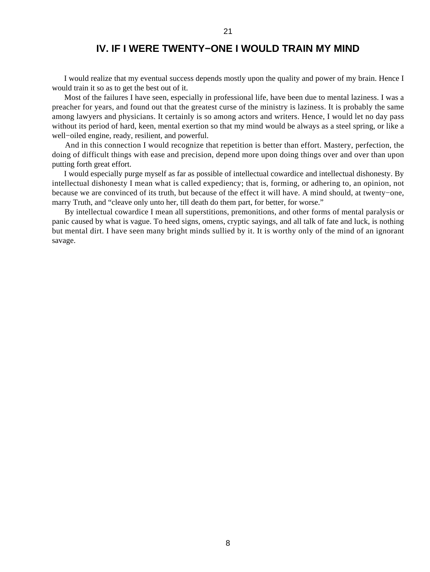## **IV. IF I WERE TWENTY−ONE I WOULD TRAIN MY MIND**

<span id="page-9-0"></span> I would realize that my eventual success depends mostly upon the quality and power of my brain. Hence I would train it so as to get the best out of it.

 Most of the failures I have seen, especially in professional life, have been due to mental laziness. I was a preacher for years, and found out that the greatest curse of the ministry is laziness. It is probably the same among lawyers and physicians. It certainly is so among actors and writers. Hence, I would let no day pass without its period of hard, keen, mental exertion so that my mind would be always as a steel spring, or like a well−oiled engine, ready, resilient, and powerful.

 And in this connection I would recognize that repetition is better than effort. Mastery, perfection, the doing of difficult things with ease and precision, depend more upon doing things over and over than upon putting forth great effort.

 I would especially purge myself as far as possible of intellectual cowardice and intellectual dishonesty. By intellectual dishonesty I mean what is called expediency; that is, forming, or adhering to, an opinion, not because we are convinced of its truth, but because of the effect it will have. A mind should, at twenty−one, marry Truth, and "cleave only unto her, till death do them part, for better, for worse."

 By intellectual cowardice I mean all superstitions, premonitions, and other forms of mental paralysis or panic caused by what is vague. To heed signs, omens, cryptic sayings, and all talk of fate and luck, is nothing but mental dirt. I have seen many bright minds sullied by it. It is worthy only of the mind of an ignorant savage.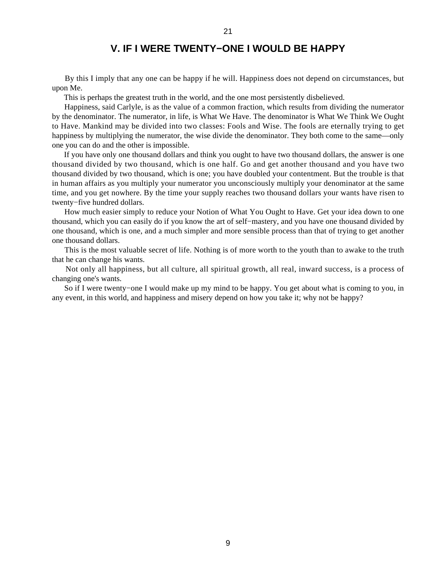## **V. IF I WERE TWENTY−ONE I WOULD BE HAPPY**

21

<span id="page-10-0"></span> By this I imply that any one can be happy if he will. Happiness does not depend on circumstances, but upon Me.

This is perhaps the greatest truth in the world, and the one most persistently disbelieved.

 Happiness, said Carlyle, is as the value of a common fraction, which results from dividing the numerator by the denominator. The numerator, in life, is What We Have. The denominator is What We Think We Ought to Have. Mankind may be divided into two classes: Fools and Wise. The fools are eternally trying to get happiness by multiplying the numerator, the wise divide the denominator. They both come to the same—only one you can do and the other is impossible.

 If you have only one thousand dollars and think you ought to have two thousand dollars, the answer is one thousand divided by two thousand, which is one half. Go and get another thousand and you have two thousand divided by two thousand, which is one; you have doubled your contentment. But the trouble is that in human affairs as you multiply your numerator you unconsciously multiply your denominator at the same time, and you get nowhere. By the time your supply reaches two thousand dollars your wants have risen to twenty−five hundred dollars.

 How much easier simply to reduce your Notion of What You Ought to Have. Get your idea down to one thousand, which you can easily do if you know the art of self−mastery, and you have one thousand divided by one thousand, which is one, and a much simpler and more sensible process than that of trying to get another one thousand dollars.

 This is the most valuable secret of life. Nothing is of more worth to the youth than to awake to the truth that he can change his wants.

 Not only all happiness, but all culture, all spiritual growth, all real, inward success, is a process of changing one's wants.

 So if I were twenty−one I would make up my mind to be happy. You get about what is coming to you, in any event, in this world, and happiness and misery depend on how you take it; why not be happy?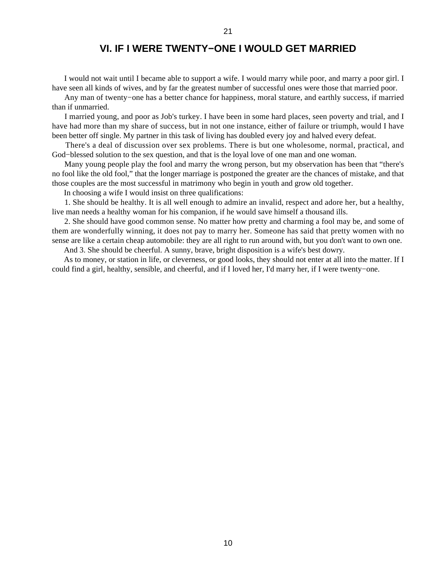## **VI. IF I WERE TWENTY−ONE I WOULD GET MARRIED**

<span id="page-11-0"></span> I would not wait until I became able to support a wife. I would marry while poor, and marry a poor girl. I have seen all kinds of wives, and by far the greatest number of successful ones were those that married poor.

 Any man of twenty−one has a better chance for happiness, moral stature, and earthly success, if married than if unmarried.

 I married young, and poor as Job's turkey. I have been in some hard places, seen poverty and trial, and I have had more than my share of success, but in not one instance, either of failure or triumph, would I have been better off single. My partner in this task of living has doubled every joy and halved every defeat.

 There's a deal of discussion over sex problems. There is but one wholesome, normal, practical, and God−blessed solution to the sex question, and that is the loyal love of one man and one woman.

 Many young people play the fool and marry the wrong person, but my observation has been that "there's no fool like the old fool," that the longer marriage is postponed the greater are the chances of mistake, and that those couples are the most successful in matrimony who begin in youth and grow old together.

In choosing a wife I would insist on three qualifications:

 1. She should be healthy. It is all well enough to admire an invalid, respect and adore her, but a healthy, live man needs a healthy woman for his companion, if he would save himself a thousand ills.

 2. She should have good common sense. No matter how pretty and charming a fool may be, and some of them are wonderfully winning, it does not pay to marry her. Someone has said that pretty women with no sense are like a certain cheap automobile: they are all right to run around with, but you don't want to own one.

And 3. She should be cheerful. A sunny, brave, bright disposition is a wife's best dowry.

 As to money, or station in life, or cleverness, or good looks, they should not enter at all into the matter. If I could find a girl, healthy, sensible, and cheerful, and if I loved her, I'd marry her, if I were twenty−one.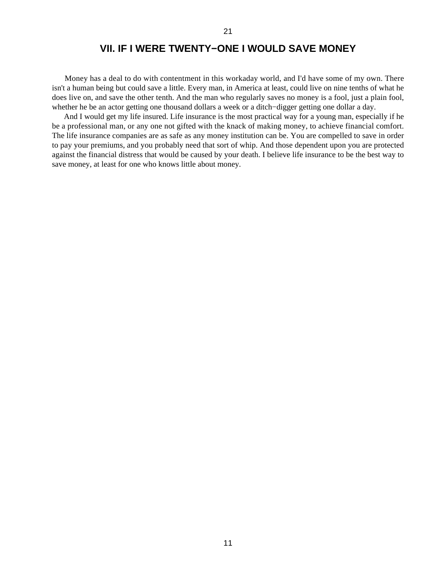## **VII. IF I WERE TWENTY−ONE I WOULD SAVE MONEY**

<span id="page-12-0"></span> Money has a deal to do with contentment in this workaday world, and I'd have some of my own. There isn't a human being but could save a little. Every man, in America at least, could live on nine tenths of what he does live on, and save the other tenth. And the man who regularly saves no money is a fool, just a plain fool, whether he be an actor getting one thousand dollars a week or a ditch−digger getting one dollar a day.

 And I would get my life insured. Life insurance is the most practical way for a young man, especially if he be a professional man, or any one not gifted with the knack of making money, to achieve financial comfort. The life insurance companies are as safe as any money institution can be. You are compelled to save in order to pay your premiums, and you probably need that sort of whip. And those dependent upon you are protected against the financial distress that would be caused by your death. I believe life insurance to be the best way to save money, at least for one who knows little about money.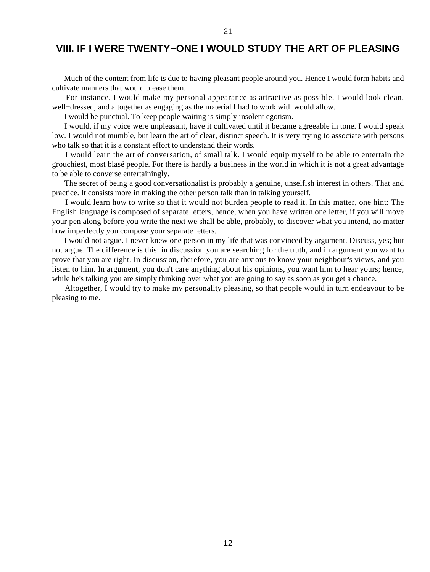## <span id="page-13-0"></span>**VIII. IF I WERE TWENTY−ONE I WOULD STUDY THE ART OF PLEASING**

21

 Much of the content from life is due to having pleasant people around you. Hence I would form habits and cultivate manners that would please them.

 For instance, I would make my personal appearance as attractive as possible. I would look clean, well−dressed, and altogether as engaging as the material I had to work with would allow.

I would be punctual. To keep people waiting is simply insolent egotism.

 I would, if my voice were unpleasant, have it cultivated until it became agreeable in tone. I would speak low. I would not mumble, but learn the art of clear, distinct speech. It is very trying to associate with persons who talk so that it is a constant effort to understand their words.

 I would learn the art of conversation, of small talk. I would equip myself to be able to entertain the grouchiest, most blasé people. For there is hardly a business in the world in which it is not a great advantage to be able to converse entertainingly.

 The secret of being a good conversationalist is probably a genuine, unselfish interest in others. That and practice. It consists more in making the other person talk than in talking yourself.

 I would learn how to write so that it would not burden people to read it. In this matter, one hint: The English language is composed of separate letters, hence, when you have written one letter, if you will move your pen along before you write the next we shall be able, probably, to discover what you intend, no matter how imperfectly you compose your separate letters.

 I would not argue. I never knew one person in my life that was convinced by argument. Discuss, yes; but not argue. The difference is this: in discussion you are searching for the truth, and in argument you want to prove that you are right. In discussion, therefore, you are anxious to know your neighbour's views, and you listen to him. In argument, you don't care anything about his opinions, you want him to hear yours; hence, while he's talking you are simply thinking over what you are going to say as soon as you get a chance.

 Altogether, I would try to make my personality pleasing, so that people would in turn endeavour to be pleasing to me.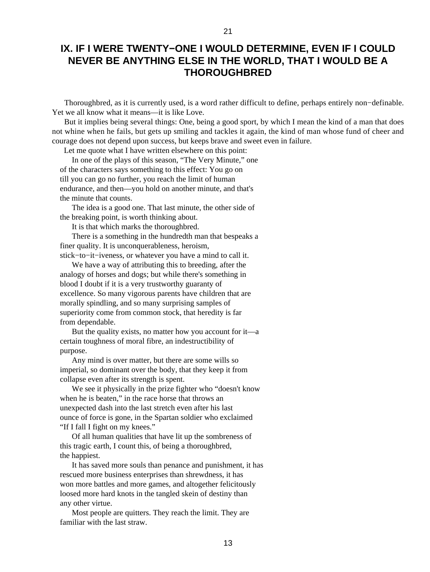## <span id="page-14-0"></span>**IX. IF I WERE TWENTY−ONE I WOULD DETERMINE, EVEN IF I COULD NEVER BE ANYTHING ELSE IN THE WORLD, THAT I WOULD BE A THOROUGHBRED**

 Thoroughbred, as it is currently used, is a word rather difficult to define, perhaps entirely non−definable. Yet we all know what it means—it is like Love.

 But it implies being several things: One, being a good sport, by which I mean the kind of a man that does not whine when he fails, but gets up smiling and tackles it again, the kind of man whose fund of cheer and courage does not depend upon success, but keeps brave and sweet even in failure.

Let me quote what I have written elsewhere on this point:

 In one of the plays of this season, "The Very Minute," one of the characters says something to this effect: You go on till you can go no further, you reach the limit of human endurance, and then—you hold on another minute, and that's the minute that counts.

 The idea is a good one. That last minute, the other side of the breaking point, is worth thinking about.

It is that which marks the thoroughbred.

 There is a something in the hundredth man that bespeaks a finer quality. It is unconquerableness, heroism, stick−to−it−iveness, or whatever you have a mind to call it.

 We have a way of attributing this to breeding, after the analogy of horses and dogs; but while there's something in blood I doubt if it is a very trustworthy guaranty of excellence. So many vigorous parents have children that are morally spindling, and so many surprising samples of superiority come from common stock, that heredity is far

from dependable.

 But the quality exists, no matter how you account for it—a certain toughness of moral fibre, an indestructibility of purpose.

 Any mind is over matter, but there are some wills so imperial, so dominant over the body, that they keep it from collapse even after its strength is spent.

 We see it physically in the prize fighter who "doesn't know when he is beaten," in the race horse that throws an unexpected dash into the last stretch even after his last ounce of force is gone, in the Spartan soldier who exclaimed "If I fall I fight on my knees."

 Of all human qualities that have lit up the sombreness of this tragic earth, I count this, of being a thoroughbred, the happiest.

 It has saved more souls than penance and punishment, it has rescued more business enterprises than shrewdness, it has won more battles and more games, and altogether felicitously loosed more hard knots in the tangled skein of destiny than any other virtue.

 Most people are quitters. They reach the limit. They are familiar with the last straw.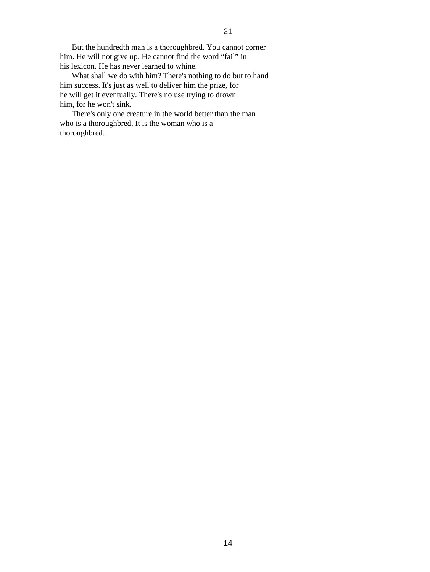But the hundredth man is a thoroughbred. You cannot corner him. He will not give up. He cannot find the word "fail" in his lexicon. He has never learned to whine.

 What shall we do with him? There's nothing to do but to hand him success. It's just as well to deliver him the prize, for he will get it eventually. There's no use trying to drown him, for he won't sink.

 There's only one creature in the world better than the man who is a thoroughbred. It is the woman who is a thoroughbred.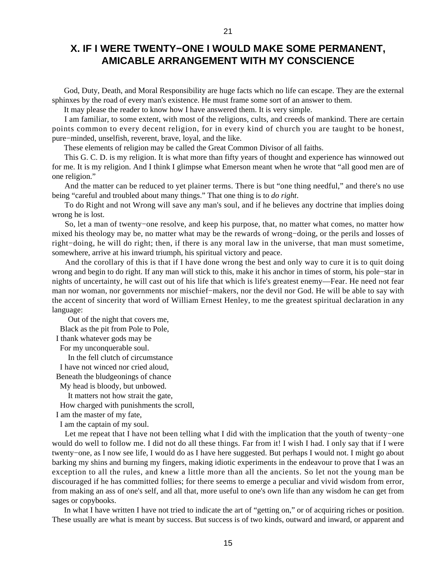## **X. IF I WERE TWENTY−ONE I WOULD MAKE SOME PERMANENT, AMICABLE ARRANGEMENT WITH MY CONSCIENCE**

21

<span id="page-16-0"></span> God, Duty, Death, and Moral Responsibility are huge facts which no life can escape. They are the external sphinxes by the road of every man's existence. He must frame some sort of an answer to them.

It may please the reader to know how I have answered them. It is very simple.

 I am familiar, to some extent, with most of the religions, cults, and creeds of mankind. There are certain points common to every decent religion, for in every kind of church you are taught to be honest, pure−minded, unselfish, reverent, brave, loyal, and the like.

These elements of religion may be called the Great Common Divisor of all faiths.

 This G. C. D. is my religion. It is what more than fifty years of thought and experience has winnowed out for me. It is my religion. And I think I glimpse what Emerson meant when he wrote that "all good men are of one religion."

 And the matter can be reduced to yet plainer terms. There is but "one thing needful," and there's no use being "careful and troubled about many things." That one thing is to *do right*.

 To do Right and not Wrong will save any man's soul, and if he believes any doctrine that implies doing wrong he is lost.

 So, let a man of twenty−one resolve, and keep his purpose, that, no matter what comes, no matter how mixed his theology may be, no matter what may be the rewards of wrong−doing, or the perils and losses of right−doing, he will do right; then, if there is any moral law in the universe, that man must sometime, somewhere, arrive at his inward triumph, his spiritual victory and peace.

 And the corollary of this is that if I have done wrong the best and only way to cure it is to quit doing wrong and begin to do right. If any man will stick to this, make it his anchor in times of storm, his pole−star in nights of uncertainty, he will cast out of his life that which is life's greatest enemy—Fear. He need not fear man nor woman, nor governments nor mischief−makers, nor the devil nor God. He will be able to say with the accent of sincerity that word of William Ernest Henley, to me the greatest spiritual declaration in any language:

Out of the night that covers me,

Black as the pit from Pole to Pole,

I thank whatever gods may be

For my unconquerable soul.

In the fell clutch of circumstance

I have not winced nor cried aloud,

Beneath the bludgeonings of chance

My head is bloody, but unbowed.

It matters not how strait the gate,

How charged with punishments the scroll,

I am the master of my fate,

I am the captain of my soul.

 Let me repeat that I have not been telling what I did with the implication that the youth of twenty−one would do well to follow me. I did not do all these things. Far from it! I wish I had. I only say that if I were twenty−one, as I now see life, I would do as I have here suggested. But perhaps I would not. I might go about barking my shins and burning my fingers, making idiotic experiments in the endeavour to prove that I was an exception to all the rules, and knew a little more than all the ancients. So let not the young man be discouraged if he has committed follies; for there seems to emerge a peculiar and vivid wisdom from error, from making an ass of one's self, and all that, more useful to one's own life than any wisdom he can get from sages or copybooks.

 In what I have written I have not tried to indicate the art of "getting on," or of acquiring riches or position. These usually are what is meant by success. But success is of two kinds, outward and inward, or apparent and